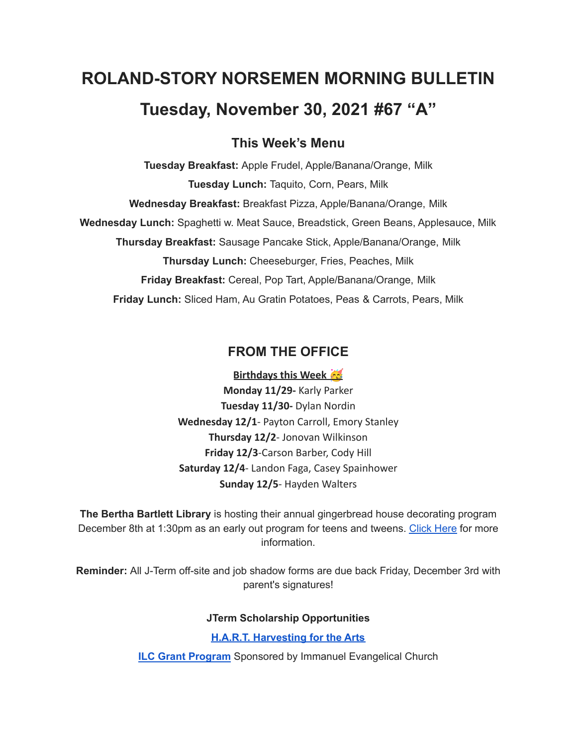# **ROLAND-STORY NORSEMEN MORNING BULLETIN Tuesday, November 30, 2021 #67 "A"**

# **This Week's Menu**

**Tuesday Breakfast:** Apple Frudel, Apple/Banana/Orange, Milk **Tuesday Lunch:** Taquito, Corn, Pears, Milk **Wednesday Breakfast:** Breakfast Pizza, Apple/Banana/Orange, Milk **Wednesday Lunch:** Spaghetti w. Meat Sauce, Breadstick, Green Beans, Applesauce, Milk **Thursday Breakfast:** Sausage Pancake Stick, Apple/Banana/Orange, Milk **Thursday Lunch:** Cheeseburger, Fries, Peaches, Milk **Friday Breakfast:** Cereal, Pop Tart, Apple/Banana/Orange, Milk **Friday Lunch:** Sliced Ham, Au Gratin Potatoes, Peas & Carrots, Pears, Milk

# **FROM THE OFFICE**

**Birthdays this Week Monday 11/29-** Karly Parker **Tuesday 11/30-** Dylan Nordin **Wednesday 12/1**- Payton Carroll, Emory Stanley **Thursday 12/2**- Jonovan Wilkinson **Friday 12/3**-Carson Barber, Cody Hill **Saturday 12/4**- Landon Faga, Casey Spainhower **Sunday 12/5**- Hayden Walters

**The Bertha Bartlett Library** is hosting their annual gingerbread house decorating program December 8th at 1:30pm as an early out program for teens and tweens. [Click](https://drive.google.com/file/d/1CGmF_50aOwKsD39mKxU7mwvY-md9xy5B/view?usp=sharing) Here for more information.

**Reminder:** All J-Term off-site and job shadow forms are due back Friday, December 3rd with parent's signatures!

**JTerm Scholarship Opportunities**

**H.A.R.T. [Harvesting](https://drive.google.com/file/d/11g4-lZB5o7SgG3y5R4Ux7ycNKvq857Rx/view?usp=sharing) for the Arts**

**ILC Grant [Program](https://docs.google.com/document/d/1b9DHMpZaVSj48gvRrAlQ3TA3HICpz-mx/edit?usp=sharing&ouid=114282091537110464265&rtpof=true&sd=true)** Sponsored by Immanuel Evangelical Church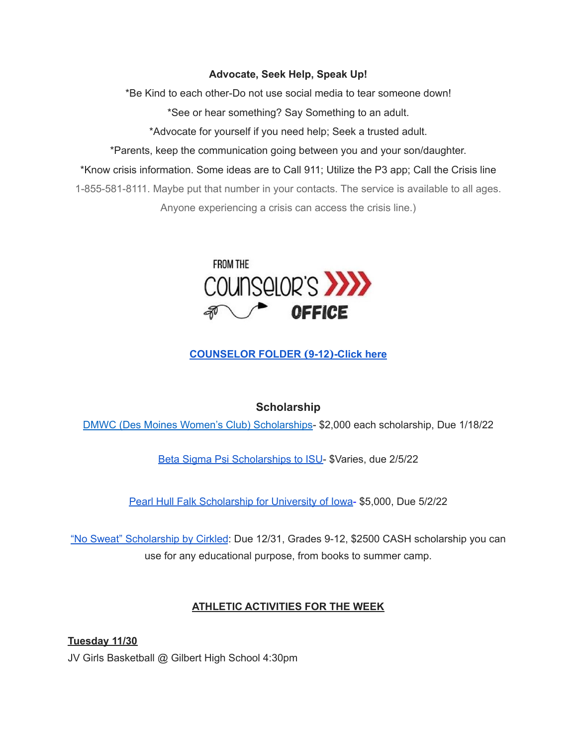#### **Advocate, Seek Help, Speak Up!**

\*Be Kind to each other-Do not use social media to tear someone down!

\*See or hear something? Say Something to an adult.

\*Advocate for yourself if you need help; Seek a trusted adult.

\*Parents, keep the communication going between you and your son/daughter.

\*Know crisis information. Some ideas are to Call 911; Utilize the P3 app; Call the Crisis line

1-855-581-8111. Maybe put that number in your contacts. The service is available to all ages. Anyone experiencing a crisis can access the crisis line.)



# **[COUNSELOR](https://docs.google.com/document/d/1vmwczNPbDzXe9vFaG5LJMQ7NYDv-i4oQJHybqA65TUc/edit?usp=sharing) FOLDER (9-12)-Click here**

# **Scholarship**

DMWC (Des Moines Women's Club) [Scholarships](https://www.desmoineswomensclub.com/scholarships)- \$2,000 each scholarship, Due 1/18/22

Beta Sigma Psi [Scholarships](http://epsilon.betasigmapsi.org/scholarship/) to ISU- \$Varies, due 2/5/22

Pearl Hull Falk [Scholarship](https://drive.google.com/file/d/1Agzc2VSOwE8oHrqccRuI2OOv1TMeps-P/view?usp=sharing) for University of Iowa- \$5,000, Due 5/2/22

"No Sweat" [Scholarship](https://www.cirkledin.com/scholarships/) by Cirkled: Due 12/31, Grades 9-12, \$2500 CASH scholarship you can use for any educational purpose, from books to summer camp.

## **ATHLETIC ACTIVITIES FOR THE WEEK**

**Tuesday 11/30** JV Girls Basketball @ Gilbert High School 4:30pm